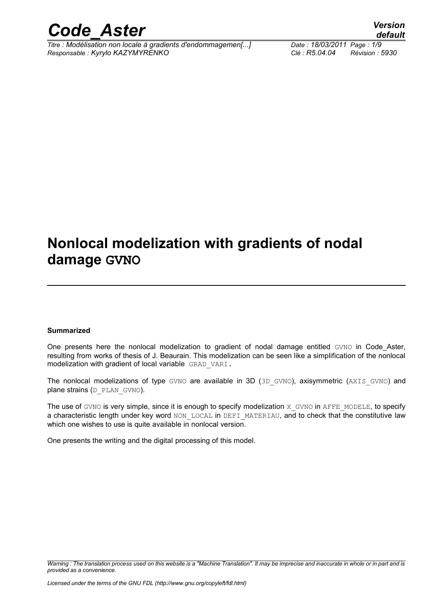

*Titre : Modélisation non locale à gradients d'endommagemen[...] Date : 18/03/2011 Page : 1/9 Responsable : Kyrylo KAZYMYRENKO Clé : R5.04.04 Révision : 5930*

*default*

### **Nonlocal modelization with gradients of nodal damage GVNO**

#### **Summarized**

One presents here the nonlocal modelization to gradient of nodal damage entitled GVNO in Code Aster, resulting from works of thesis of J. Beaurain. This modelization can be seen like a simplification of the nonlocal modelization with gradient of local variable GRAD VARI.

The nonlocal modelizations of type GVNO are available in 3D (3D GVNO), axisymmetric (AXIS GVNO) and plane strains (D\_PLAN\_GVNO).

The use of GVNO is very simple, since it is enough to specify modelization X GVNO in AFFE\_MODELE, to specify a characteristic length under key word NON LOCAL in DEFI MATERIAU, and to check that the constitutive law which one wishes to use is quite available in nonlocal version.

One presents the writing and the digital processing of this model.

*Warning : The translation process used on this website is a "Machine Translation". It may be imprecise and inaccurate in whole or in part and is provided as a convenience.*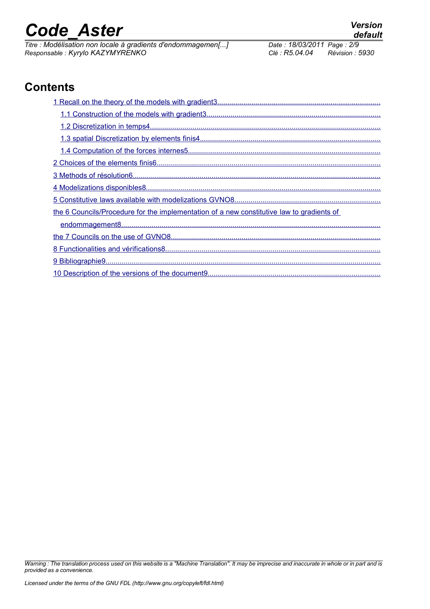*Titre : Modélisation non locale à gradients d'endommagemen[...] Date : 18/03/2011 Page : 2/9 Responsable : Kyrylo KAZYMYRENKO Clé : R5.04.04 Révision : 5930*

### **Contents**

| the 6 Councils/Procedure for the implementation of a new constitutive law to gradients of |
|-------------------------------------------------------------------------------------------|
|                                                                                           |
|                                                                                           |
|                                                                                           |
|                                                                                           |
|                                                                                           |

*Warning : The translation process used on this website is a "Machine Translation". It may be imprecise and inaccurate in whole or in part and is provided as a convenience.*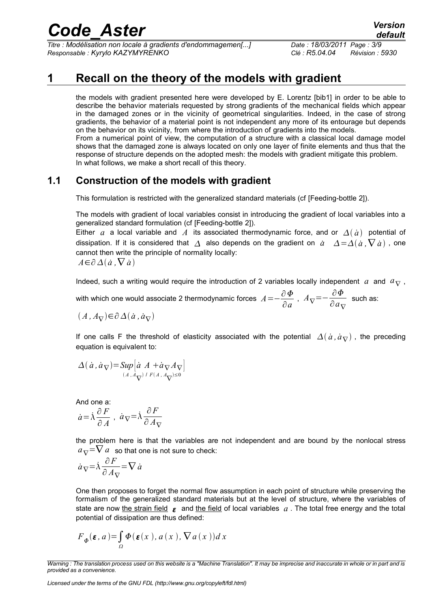*Titre : Modélisation non locale à gradients d'endommagemen[...] Date : 18/03/2011 Page : 3/9 Responsable : Kyrylo KAZYMYRENKO Clé : R5.04.04 Révision : 5930*

### **1 Recall on the theory of the models with gradient**

<span id="page-2-0"></span>the models with gradient presented here were developed by E. Lorentz [bib1] in order to be able to describe the behavior materials requested by strong gradients of the mechanical fields which appear in the damaged zones or in the vicinity of geometrical singularities. Indeed, in the case of strong gradients, the behavior of a material point is not independent any more of its entourage but depends on the behavior on its vicinity, from where the introduction of gradients into the models. From a numerical point of view, the computation of a structure with a classical local damage model shows that the damaged zone is always located on only one layer of finite elements and thus that the response of structure depends on the adopted mesh: the models with gradient mitigate this problem. In what follows, we make a short recall of this theory.

#### **1.1 Construction of the models with gradient**

<span id="page-2-1"></span>This formulation is restricted with the generalized standard materials (cf [Feeding-bottle 2]).

The models with gradient of local variables consist in introducing the gradient of local variables into a generalized standard formulation (cf [Feeding-bottle 2]).

Either *a* a local variable and *A* its associated thermodynamic force, and or  $\Delta(\dot{a})$  potential of dissipation. If it is considered that  $\Delta$  also depends on the gradient on  $\dot{a}$   $\Delta = \Delta(\dot{a} \cdot \nabla \dot{a})$ , one cannot then write the principle of normality locally:

$$
A \in \partial \Delta(\dot{a}, \nabla \dot{a})
$$

Indeed, such a writing would require the introduction of 2 variables locally independent *a* and  $a_{\nabla}$ ,

with which one would associate 2 thermodynamic forces  $A\!=\!-\!\frac{\partial\varPhi}{\partial x^2}$  $rac{\partial \Phi}{\partial a}$ ,  $A_{\nabla} = -\frac{\partial \Phi}{\partial a_{\nabla}}$  $\frac{\partial^2 I}{\partial a}$  such as:

$$
(A, A_{\nabla}) \in \partial \Delta(\dot{a}, \dot{a}_{\nabla})
$$

If one calls F the threshold of elasticity associated with the potential  $\Delta(\dot{a}, \dot{a}_{\nabla})$ , the preceding equation is equivalent to:

$$
\Delta(\dot{a}, \dot{a}_{\nabla}) = \sup_{(A, A_{\nabla})} \left[ \dot{a} A + \dot{a}_{\nabla} A_{\nabla} \right]
$$

And one a:

$$
\dot{a}\!=\!\dot{\lambda}\frac{\partial\,F}{\partial\,A}\;,\;\dot{a}_{\nabla}\!=\!\dot{\lambda}\frac{\partial\,F}{\partial\,A_{\nabla}}
$$

the problem here is that the variables are not independent and are bound by the nonlocal stress  $a_{\nabla}=\nabla a$  so that one is not sure to check:

$$
\dot{a}_{\nabla} = \dot{\lambda} \frac{\partial F}{\partial A_{\nabla}} = \nabla \dot{a}
$$

One then proposes to forget the normal flow assumption in each point of structure while preserving the formalism of the generalized standard materials but at the level of structure, where the variables of state are now the strain field  $\epsilon$  and the field of local variables  $a$ . The total free energy and the total potential of dissipation are thus defined:

$$
F_{\Phi}(\varepsilon, a) = \int_{\Omega} \Phi(\varepsilon(x), a(x), \nabla a(x)) dx
$$

*Licensed under the terms of the GNU FDL (http://www.gnu.org/copyleft/fdl.html)*

*Warning : The translation process used on this website is a "Machine Translation". It may be imprecise and inaccurate in whole or in part and is provided as a convenience.*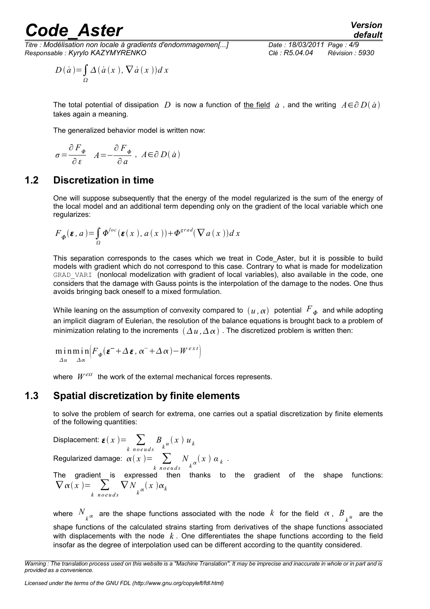*Titre : Modélisation non locale à gradients d'endommagemen[...] Date : 18/03/2011 Page : 4/9 Responsable : Kyrylo KAZYMYRENKO Clé : R5.04.04 Révision : 5930*

$$
D(\dot{a}) = \int_{\Omega} \Delta(\dot{a}(x), \nabla \dot{a}(x)) dx
$$

The total potential of dissipation  $D$  is now a function of <u>the field</u>  $\dot{a}$  , and the writing  $A\!\in\!\partial\,D(\,\dot{a}\,)$ takes again a meaning.

The generalized behavior model is written now:

$$
\sigma\!=\!\frac{\partial\,F_{\varPhi}}{\partial\,\varepsilon}\quad A\!=\!\!-\!\frac{\partial\,F_{\varPhi}}{\partial\,a}\;,\;\,A\!\in\!\partial\,D\big(\,a\,\big)
$$

#### **1.2 Discretization in time**

<span id="page-3-1"></span>One will suppose subsequently that the energy of the model regularized is the sum of the energy of the local model and an additional term depending only on the gradient of the local variable which one regularizes:

$$
F_{\phi}(\varepsilon, a) = \int_{\Omega} \Phi^{loc}(\varepsilon(x), a(x)) + \Phi^{grad}(\nabla a(x))dx
$$

This separation corresponds to the cases which we treat in Code\_Aster, but it is possible to build models with gradient which do not correspond to this case. Contrary to what is made for modelization GRAD VARI (nonlocal modelization with gradient of local variables), also available in the code, one considers that the damage with Gauss points is the interpolation of the damage to the nodes. One thus avoids bringing back oneself to a mixed formulation.

While leaning on the assumption of convexity compared to  $\,(\,u\,, \alpha)\,$  potential  $\,F_{\,\bm{\varPhi}}\,$  and while adopting an implicit diagram of Eulerian, the resolution of the balance equations is brought back to a problem of minimization relating to the increments  $(\Delta u, \Delta \alpha)$ . The discretized problem is written then:

$$
\min_{\Delta u} \min_{\Delta \alpha} \left( F_{\phi}(\boldsymbol{\varepsilon}^{-} + \Delta \boldsymbol{\varepsilon}, \alpha^{-} + \Delta \alpha) - W^{ext} \right)
$$

<span id="page-3-0"></span>where  $W^{ext}$  the work of the external mechanical forces represents.

#### **1.3 Spatial discretization by finite elements**

to solve the problem of search for extrema, one carries out a spatial discretization by finite elements of the following quantities:

Displacement:  $\boldsymbol{\varepsilon}(\boldsymbol{x})$  =  $\sum$ *k n o e u d s*  $B_{k^u}(x)$   $u_k$ Regularized damage:  $\alpha(x)$ =  $\sum$ *k n o e u d s N*  $\int_k \alpha(x) \alpha_k$ . The gradient is expressed then thanks to the gradient of the shape functions:  $\nabla \alpha(x) = \sum$ *k n o e u d s*  $\nabla$  N  $\int_k \alpha(x) \alpha_k$ 

where  $N_{\atop k^\alpha}$  are the shape functions associated with the node  $k$  for the field  $\alpha$ ,  $B_{\atop k^u}$  are the shape functions of the calculated strains starting from derivatives of the shape functions associated with displacements with the node *k* . One differentiates the shape functions according to the field insofar as the degree of interpolation used can be different according to the quantity considered.

*Warning : The translation process used on this website is a "Machine Translation". It may be imprecise and inaccurate in whole or in part and is provided as a convenience.*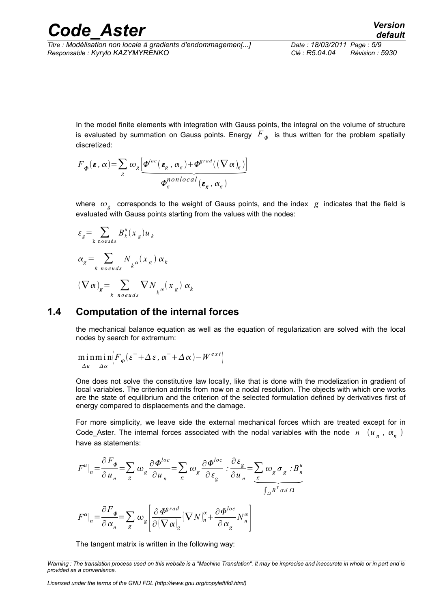*Titre : Modélisation non locale à gradients d'endommagemen[...] Date : 18/03/2011 Page : 5/9 Responsable : Kyrylo KAZYMYRENKO Clé : R5.04.04 Révision : 5930*

In the model finite elements with integration with Gauss points, the integral on the volume of structure is evaluated by summation on Gauss points. Energy  $\overline{F}_{\varPhi}$  is thus written for the problem spatially discretized:

In the model finite elements with integration with Gau  
is evaluated by summation on Gauss points. Energy  
discretized:  

$$
F_{\phi}(\varepsilon, \alpha) = \sum_{g} \omega_{g} \underbrace{\left[ \Phi^{loc}(\varepsilon_{g}, \alpha_{g}) + \Phi^{grad}((\nabla \alpha)_{g}) \right]}_{\Phi_{g}^{nonlocal}} \Phi_{g}^{nonlocal}(\varepsilon_{g}, \alpha_{g})
$$

where  $\omega_{g}^{\parallel}$  corresponds to the weight of Gauss points, and the index  $\vert g \vert$  indicates that the field is evaluated with Gauss points starting from the values with the nodes:

$$
\varepsilon_{g} = \sum_{k \text{ needs}} B_{k}^{u}(x_{g}) u_{k}
$$
  

$$
\alpha_{g} = \sum_{k \text{ needs}} N_{k} \alpha(x_{g}) \alpha_{k}
$$
  

$$
(\nabla \alpha)_{g} = \sum_{k \text{ includes}} \nabla N_{k} \alpha(x_{g}) \alpha_{k}
$$

#### **1.4 Computation of the internal forces**

<span id="page-4-0"></span>the mechanical balance equation as well as the equation of regularization are solved with the local nodes by search for extremum:

$$
\min_{\Delta u} \min_{\Delta \alpha} \left( F_{\phi}(\varepsilon^{-} + \Delta \varepsilon, \alpha^{-} + \Delta \alpha) - W^{ext} \right)
$$

One does not solve the constitutive law locally, like that is done with the modelization in gradient of local variables. The criterion admits from now on a nodal resolution. The objects with which one works are the state of equilibrium and the criterion of the selected formulation defined by derivatives first of energy compared to displacements and the damage.

For more simplicity, we leave side the external mechanical forces which are treated except for in Code\_Aster. The internal forces associated with the nodal variables with the node  $n^-(u_n^-, \alpha_n^-)$ have as statements:

have as statements.  
\n
$$
F^{u}|_{n} = \frac{\partial F_{\phi}}{\partial u_{n}} = \sum_{g} \omega_{g} \frac{\partial \Phi^{loc}}{\partial u_{n}} = \sum_{g} \omega_{g} \frac{\partial \Phi^{loc}}{\partial \varepsilon_{g}} \cdot \frac{\partial \varepsilon_{g}}{\partial u_{n}} = \sum_{g} \omega_{g} \sigma_{g} \cdot B^{u}_{n}
$$
\n
$$
F^{\alpha}|_{n} = \frac{\partial F_{\phi}}{\partial \alpha_{n}} = \sum_{g} \omega_{g} \left[ \frac{\partial \Phi^{grad}}{\partial (\nabla \alpha)_{g}} (\nabla N)_{n}^{\alpha} + \frac{\partial \Phi^{loc}}{\partial \alpha_{g}} N_{n}^{\alpha} \right]
$$

The tangent matrix is written in the following way:

*Licensed under the terms of the GNU FDL (http://www.gnu.org/copyleft/fdl.html)*

*Warning : The translation process used on this website is a "Machine Translation". It may be imprecise and inaccurate in whole or in part and is provided as a convenience.*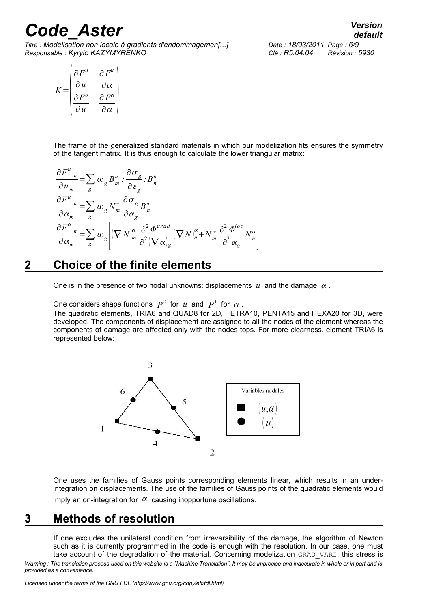*Titre : Modélisation non locale à gradients d'endommagemen[...] Date : 18/03/2011 Page : 6/9 Responsable : Kyrylo KAZYMYRENKO Clé : R5.04.04 Révision : 5930*

*default*

$$
K = \begin{pmatrix} \frac{\partial F^u}{\partial u} & \frac{\partial F^u}{\partial \alpha} \\ \frac{\partial F^{\alpha}}{\partial u} & \frac{\partial F^{\alpha}}{\partial \alpha} \end{pmatrix}
$$

The frame of the generalized standard materials in which our modelization fits ensures the symmetry of the tangent matrix. It is thus enough to calculate the lower triangular matrix:

$$
\frac{\partial F^u|_n}{\partial u_m} = \sum_g \omega_g B^u_m \cdot \frac{\partial \sigma_g}{\partial \varepsilon_g} \cdot B^u_n
$$
  
\n
$$
\frac{\partial F^u|_n}{\partial \alpha_m} = \sum_g \omega_g N^{\alpha}_m \frac{\partial \sigma_g}{\partial \alpha_g} B^u_n
$$
  
\n
$$
\frac{\partial F^{\alpha}|_n}{\partial \alpha_m} = \sum_g \omega_g \left[ (\nabla N)^{\alpha}_m \frac{\partial^2 \Phi^{grad}}{\partial^2 (\nabla \alpha)_g} (\nabla N)^{\alpha}_n + N^{\alpha}_m \frac{\partial^2 \Phi^{loc}}{\partial^2 \alpha_g} N^{\alpha}_n \right]
$$

#### **2 Choice of the finite elements**

<span id="page-5-1"></span>One is in the presence of two nodal unknowns: displacements  $u$  and the damage  $\alpha$ .

One considers shape functions  $P^2$  for  $u$  and  $P^1$  for  $\alpha$ .

The quadratic elements, TRIA6 and QUAD8 for 2D, TETRA10, PENTA15 and HEXA20 for 3D, were developed. The components of displacement are assigned to all the nodes of the element whereas the components of damage are affected only with the nodes tops. For more clearness, element TRIA6 is represented below:



One uses the families of Gauss points corresponding elements linear, which results in an underintegration on displacements. The use of the families of Gauss points of the quadratic elements would imply an on-integration for  $\alpha$  causing inopportune oscillations.

#### **3 Methods of resolution**

<span id="page-5-0"></span>If one excludes the unilateral condition from irreversibility of the damage, the algorithm of Newton such as it is currently programmed in the code is enough with the resolution. In our case, one must take account of the degradation of the material. Concerning modelization GRAD VARI, this stress is

*Warning : The translation process used on this website is a "Machine Translation". It may be imprecise and inaccurate in whole or in part and is provided as a convenience.*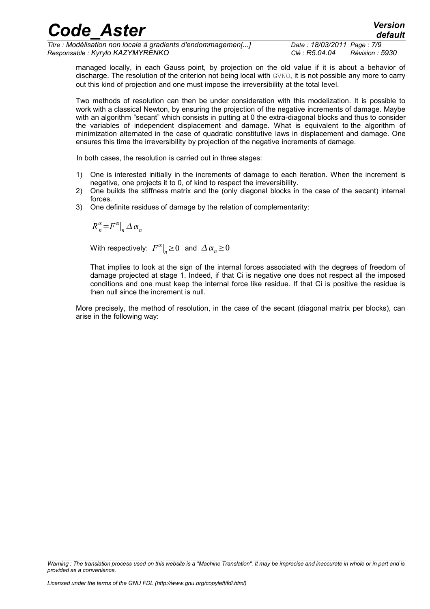| <b>Code Aster</b>                                            |                            | <b>Version</b><br>default |
|--------------------------------------------------------------|----------------------------|---------------------------|
| Titre : Modélisation non locale à gradients d'endommagemen[] | Date: 18/03/2011 Page: 7/9 |                           |
| Responsable : Kyrylo KAZYMYRENKO                             | Clé : R5.04.04             | Révision : 5930           |

managed locally, in each Gauss point, by projection on the old value if it is about a behavior of discharge. The resolution of the criterion not being local with GVNO, it is not possible any more to carry out this kind of projection and one must impose the irreversibility at the total level.

Two methods of resolution can then be under consideration with this modelization. It is possible to work with a classical Newton, by ensuring the projection of the negative increments of damage. Maybe with an algorithm "secant" which consists in putting at 0 the extra-diagonal blocks and thus to consider the variables of independent displacement and damage. What is equivalent to the algorithm of minimization alternated in the case of quadratic constitutive laws in displacement and damage. One ensures this time the irreversibility by projection of the negative increments of damage.

In both cases, the resolution is carried out in three stages:

- 1) One is interested initially in the increments of damage to each iteration. When the increment is negative, one projects it to 0, of kind to respect the irreversibility.
- 2) One builds the stiffness matrix and the (only diagonal blocks in the case of the secant) internal forces.
- 3) One definite residues of damage by the relation of complementarity:

$$
R_n^{\alpha} = F^{\alpha}|_n \Delta \alpha_n
$$

With respectively:  $F^{\alpha}|_{n} \ge 0$  and  $\Delta \alpha_{n} \ge 0$ 

That implies to look at the sign of the internal forces associated with the degrees of freedom of damage projected at stage 1. Indeed, if that Ci is negative one does not respect all the imposed conditions and one must keep the internal force like residue. If that Ci is positive the residue is then null since the increment is null.

More precisely, the method of resolution, in the case of the secant (diagonal matrix per blocks), can arise in the following way:

*Warning : The translation process used on this website is a "Machine Translation". It may be imprecise and inaccurate in whole or in part and is provided as a convenience.*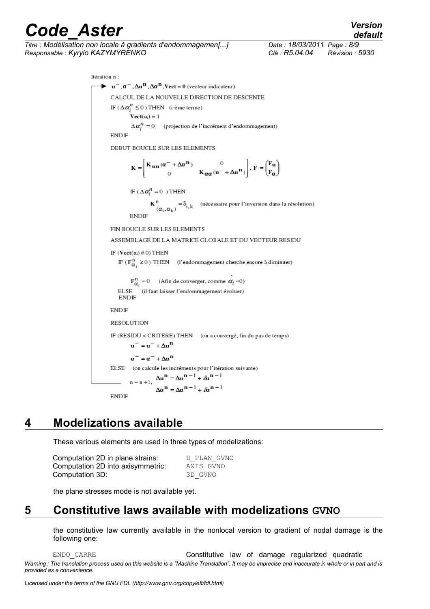*Titre : Modélisation non locale à gradients d'endommagemen[...] Date : 18/03/2011 Page : 8/9 Responsable : Kyrylo KAZYMYRENKO Clé : R5.04.04 Révision : 5930*

*default*

Itération n :  $\bullet$  u<sup>-</sup>. $\alpha^-$ . $\Delta$ u<sup>n</sup>. $\Delta \alpha^{\text{II}}$ .Vect = 0 (vecteur indicateur) CALCUL DE LA NOUVELLE DIRECTION DE DESCENTE IF  $(\Delta \alpha_i^n \leq 0)$  THEN (i-ème terme)  $\textbf{Vect}(\alpha_i) = 1$  $\Delta \alpha_i^n = 0$  (projection de l'incrément d'endommagement) **ENDIE** DEBUT BOUCLE SUR LES ELEMENTS  $\mathbf{K} = \left[ \begin{matrix} \mathbf{K}_{\mathbf{u}\mathbf{u}}(\boldsymbol{\alpha}^- + \Delta \boldsymbol{\alpha}^\mathbf{n}) & 0 \\ 0 & \mathbf{K}_{\mathbf{Q}\mathbf{Q}}(\mathbf{u}^- + \Delta \mathbf{u}^\mathbf{n}) \end{matrix} \right], \ \mathbf{F} = \begin{pmatrix} \mathbf{F}_{\mathbf{u}} \\ \mathbf{F}_{\mathbf{Q}} \end{pmatrix}$ IF  $(\Delta \alpha_i^n = 0)$  THEN  $\[\n\alpha_{i}, \alpha_{k}\n) = \delta_{i,k}\n\]$  (nécessaire pour l'inversion dans la résolution) **ENDIF** FIN BOUCLE SUR LES ELEMENTS ASSEMBLAGE DE LA MATRICE GLOBALE ET DU VECTEUR RESIDU IF  $(\mathbf{Vect}(\alpha_i) \# 0)$  THEN IF ( $\mathbf{F}_{\alpha}^{n} \ge 0$ ) THEN (l'endommagement cherche encore à diminuer)  $\mathbf{F}_{\alpha_i}^n = 0$  (Afin de converger, comme  $\alpha_i = 0$ ) ELSE (il faut laisser l'endommagement évoluer)<br>ENDIF **ENDIF RESOLUTION** IF (RESIDU < CRITERE) THEN (on a convergé, fin du pas de temps)  $u^- = u^- + \Delta u^n$  $\alpha^- = \alpha^- + \Delta \alpha^{\mathbf{n}}$ ELSE (on calcule les incréments pour l'itération suivante)  $n = n + 1$ ,  $\Delta u^n = \Delta u^{n-1} + \delta u^{n-1}$  $\Delta \alpha^{n} = \Delta \alpha^{n-1} + \delta \alpha^{n-1}$ **ENDIF** 

#### **4 Modelizations available**

<span id="page-7-1"></span>These various elements are used in three types of modelizations:

| Computation 2D in plane strains:  | D PLAN GVNO |
|-----------------------------------|-------------|
| Computation 2D into axisymmetric: | AXIS GVNO   |
| Computation 3D:                   | 3D GVNO     |

<span id="page-7-0"></span>the plane stresses mode is not available yet.

### **5 Constitutive laws available with modelizations GVNO**

the constitutive law currently available in the nonlocal version to gradient of nodal damage is the following one:

| ENDO CARRE                                                                                                                                      | Constitutive law of damage regularized quadratic |  |  |  |
|-------------------------------------------------------------------------------------------------------------------------------------------------|--------------------------------------------------|--|--|--|
| Warning: The translation process used on this website is a "Machine Translation". It may be imprecise and inaccurate in whole or in part and is |                                                  |  |  |  |
| provided as a convenience.                                                                                                                      |                                                  |  |  |  |